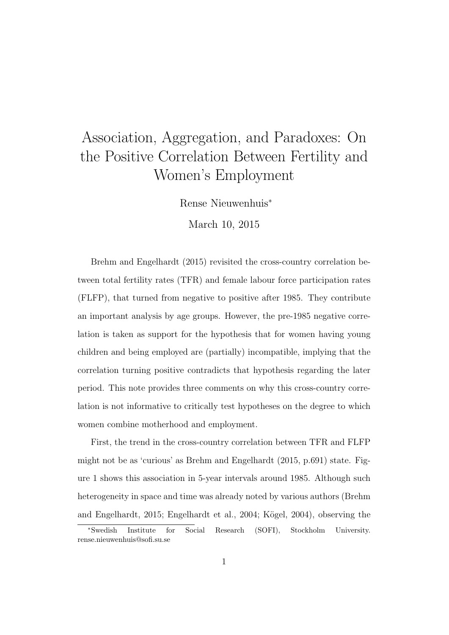## Association, Aggregation, and Paradoxes: On the Positive Correlation Between Fertility and Women's Employment

Rense Nieuwenhuis<sup>∗</sup>

March 10, 2015

Brehm and Engelhardt (2015) revisited the cross-country correlation between total fertility rates (TFR) and female labour force participation rates (FLFP), that turned from negative to positive after 1985. They contribute an important analysis by age groups. However, the pre-1985 negative correlation is taken as support for the hypothesis that for women having young children and being employed are (partially) incompatible, implying that the correlation turning positive contradicts that hypothesis regarding the later period. This note provides three comments on why this cross-country correlation is not informative to critically test hypotheses on the degree to which women combine motherhood and employment.

First, the trend in the cross-country correlation between TFR and FLFP might not be as 'curious' as Brehm and Engelhardt (2015, p.691) state. Figure 1 shows this association in 5-year intervals around 1985. Although such heterogeneity in space and time was already noted by various authors (Brehm and Engelhardt, 2015; Engelhardt et al., 2004; Kögel, 2004), observing the

<sup>∗</sup>Swedish Institute for Social Research (SOFI), Stockholm University. rense.nieuwenhuis@sofi.su.se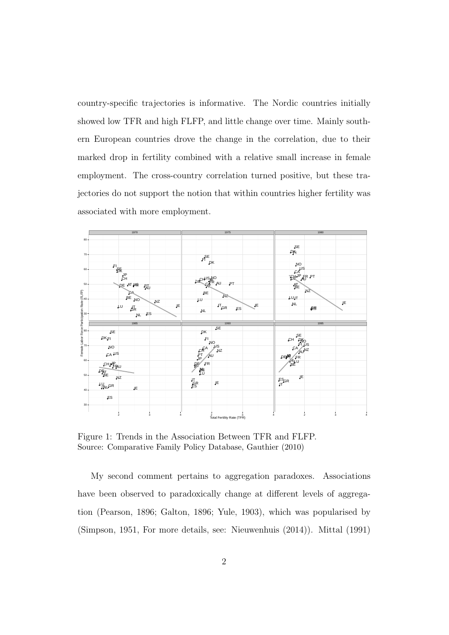country-specific trajectories is informative. The Nordic countries initially showed low TFR and high FLFP, and little change over time. Mainly southern European countries drove the change in the correlation, due to their marked drop in fertility combined with a relative small increase in female employment. The cross-country correlation turned positive, but these trajectories do not support the notion that within countries higher fertility was associated with more employment.



Figure 1: Trends in the Association Between TFR and FLFP. Source: Comparative Family Policy Database, Gauthier (2010)

My second comment pertains to aggregation paradoxes. Associations have been observed to paradoxically change at different levels of aggregation (Pearson, 1896; Galton, 1896; Yule, 1903), which was popularised by (Simpson, 1951, For more details, see: Nieuwenhuis (2014)). Mittal (1991)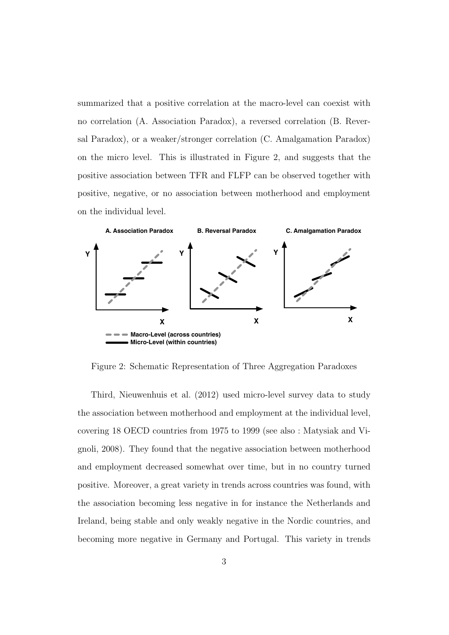summarized that a positive correlation at the macro-level can coexist with no correlation (A. Association Paradox), a reversed correlation (B. Reversal Paradox), or a weaker/stronger correlation (C. Amalgamation Paradox) on the micro level. This is illustrated in Figure 2, and suggests that the positive association between TFR and FLFP can be observed together with positive, negative, or no association between motherhood and employment on the individual level.



Figure 2: Schematic Representation of Three Aggregation Paradoxes

Third, Nieuwenhuis et al. (2012) used micro-level survey data to study the association between motherhood and employment at the individual level, covering 18 OECD countries from 1975 to 1999 (see also : Matysiak and Vignoli, 2008). They found that the negative association between motherhood and employment decreased somewhat over time, but in no country turned positive. Moreover, a great variety in trends across countries was found, with the association becoming less negative in for instance the Netherlands and Ireland, being stable and only weakly negative in the Nordic countries, and becoming more negative in Germany and Portugal. This variety in trends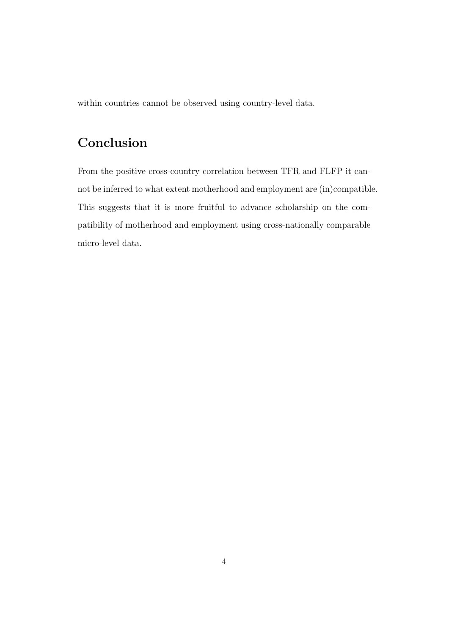within countries cannot be observed using country-level data.

## Conclusion

From the positive cross-country correlation between TFR and FLFP it cannot be inferred to what extent motherhood and employment are (in)compatible. This suggests that it is more fruitful to advance scholarship on the compatibility of motherhood and employment using cross-nationally comparable micro-level data.